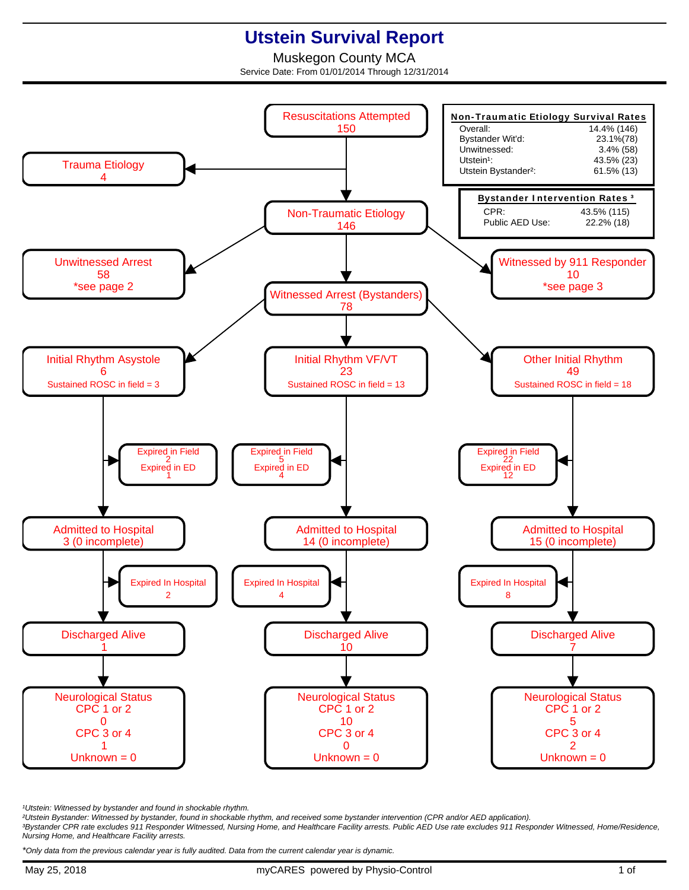## **Utstein Survival Report**

Muskegon County MCA Service Date: From 01/01/2014 Through 12/31/2014



<sup>1</sup>Utstein: Witnessed by bystander and found in shockable rhythm.

²Utstein Bystander: Witnessed by bystander, found in shockable rhythm, and received some bystander intervention (CPR and/or AED application).

³Bystander CPR rate excludes 911 Responder Witnessed, Nursing Home, and Healthcare Facility arrests. Public AED Use rate excludes 911 Responder Witnessed, Home/Residence, Nursing Home, and Healthcare Facility arrests.

\*Only data from the previous calendar year is fully audited. Data from the current calendar year is dynamic.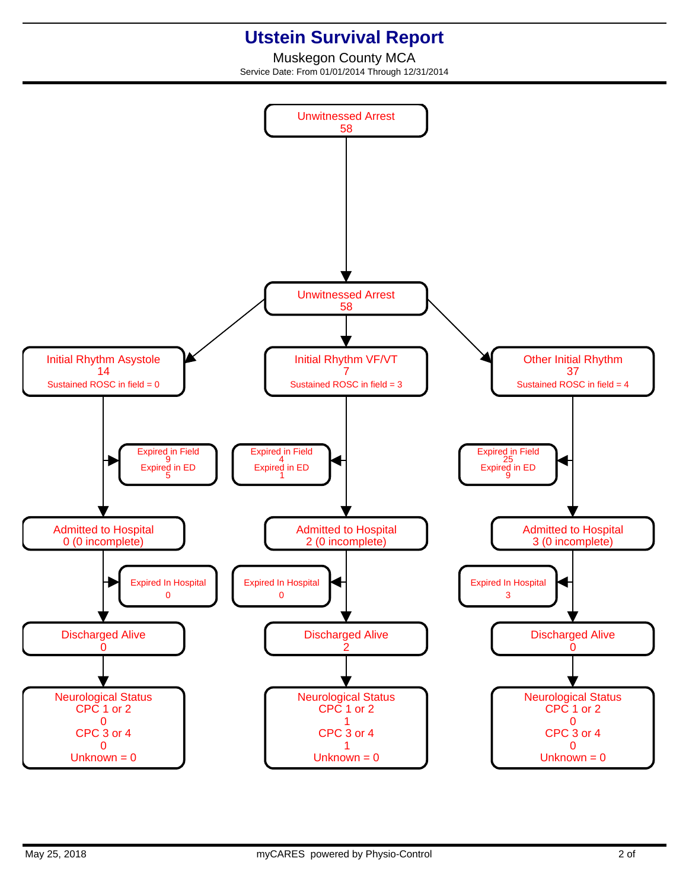## **Utstein Survival Report**

Muskegon County MCA Service Date: From 01/01/2014 Through 12/31/2014